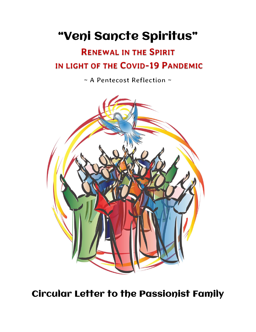# "Veni Sancte Spiritus"

## **RENEWAL IN THE SPIRIT** IN LIGHT OF THE COVID-19 PANDEMIC

*~ A Pentecost Reflection ~*



Circular Letter to the Passionist Family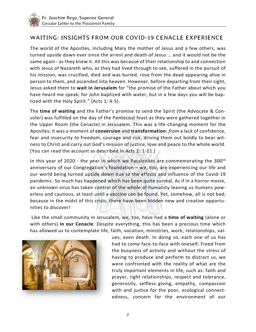#### *WAITING: INSIGHTS FROM OUR COVID-19 CENACLE EXPERIENCE*

The world of the Apostles, including Mary the mother of Jesus and a few others, was turned upside down ever since the arrest and death of Jesus … and it would not be the same again - as they knew it. All this was because of their relationship to and connection with Jesus of Nazareth who, as they had lived through to see, suffered in the pursuit of his mission, was crucified, died and was buried, rose from the dead appearing alive in person to them, and ascended into heaven. However, before departing from their sight, Jesus asked them to **wait in Jerusalem** for "the promise of the Father about which you have heard me speak; for John baptized with water, but in a few days you will be baptized with the Holy Spirit." (Acts 1: 4-5).

The **time of waiting** and the Father's promise to send the Spirit (the Advocate & Consoler) was fulfilled on the day of the Pentecost feast as they were gathered together in the Upper Room (the Cenacle) in Jerusalem. This was a life-changing moment for the Apostles; it was a moment of **conversion** and **transformation**: *from* a lack of confidence, fear and insecurity *to* freedom, courage and risk, driving them out boldly to bear witness to Christ and carry out God's mission of justice, love and peace to the whole world. [You can read the account as described in Acts 2: 1-11.]

In this year of 2020 - the year in which we Passionists are commemorating the 300<sup>th</sup> anniversary of our Congregation's foundation – we, too, are experiencing our life and our world being turned upside down due to the effects and influence of the Covid-19 pandemic. So much has happened which has been quite surreal. As if in a horror movie, an unknown virus has taken control of the whole of humanity leaving us humans powerless and cautious, at least until a vaccine can be found. Yet, somehow, all is not bad; because in the midst of this crisis, there have been hidden new and creative opportunities to discover!

Like the small community in Jerusalem, we, too, have had a **time of waiting** (alone or with others) **in our Cenacle**. Despite everything, this has been a precious time which has allowed us to contemplate life, faith, vocation, ministries, work, relationships, val-



ues, even death. In doing so, each one of us has had to come face-to-face with oneself. Freed from the busyness of activity and without the stress of having to produce and perform to distract us, we were confronted with the reality of what are the truly important elements in life, such as: faith and prayer, right relationships, respect and tolerance, generosity, selfless giving, empathy, compassion with and justice for the poor, ecological connectedness, concern for the environment of our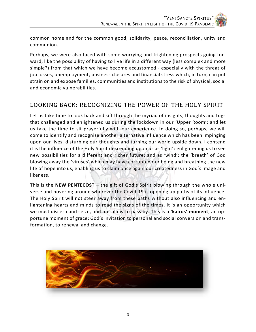common home and for the common good, solidarity, peace, reconciliation, unity and communion.

Perhaps, we were also faced with some worrying and frightening prospects going forward, like the possibility of having to live life in a different way (less complex and more simple?) from that which we have become accustomed - especially with the threat of job losses, unemployment, business closures and financial stress which, in turn, can put strain on and expose families, communities and institutions to the risk of physical, social and economic vulnerabilities.

### *LOOKING BACK: RECOGNIZING THE POWER OF THE HOLY SPIRIT*

Let us take time to look back and sift through the myriad of insights, thoughts and tugs that challenged and enlightened us during the lockdown in our 'Upper Room'; and let us take the time to sit prayerfully with our experience. In doing so, perhaps, we will come to identify and recognize another alternative influence which has been impinging upon our lives, disturbing our thoughts and turning our world upside down. I contend it is the influence of the Holy Spirit descending upon us as 'light': enlightening us to see new possibilities for a different and richer future; and as 'wind': the 'breath' of God blowing away the 'viruses' which may have corrupted our being and breathing the new life of hope into us, enabling us to claim once again our createdness in God's image and likeness.

This is the **NEW PENTECOST** – the gift of God's Spirit blowing through the whole universe and hovering around wherever the Covid-19 is opening up paths of its influence. The Holy Spirit will not steer away from these paths without also influencing and enlightening hearts and minds to read the signs of the times. It is an opportunity which we must discern and seize, and not allow to pass by. This is **a 'kairos' moment**, an opportune moment of grace: God's invitation to personal and social conversion and transformation, to renewal and change.

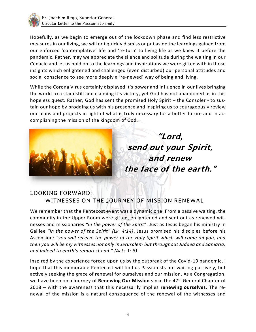

Hopefully, as we begin to emerge out of the lockdown phase and find less restrictive measures in our living, we will not quickly dismiss or put aside the learnings gained from our enforced 'contemplative' life and 're-turn' to living life as we knew it before the pandemic. Rather, may we appreciate the silence and solitude during the waiting in our Cenacle and let us hold on to the learnings and inspirations we were gifted with in those insights which enlightened and challenged (even disturbed) our personal attitudes and social conscience to see more deeply a 're-newed' way of being and living.

While the Corona Virus certainly displayed it's power and influence in our lives bringing the world to a standstill and claiming it's victory, yet God has not abandoned us in this hopeless quest. Rather, God has sent the promised Holy Spirit – the Consoler - to sustain our hope by prodding us with his presence and inspiring us to courageously review our plans and projects in light of what is truly necessary for a better future and in accomplishing the mission of the kingdom of God.



"Lord, send out your Spirit, and renew the face of the earth."

#### *LOOKING FORWARD: WITNESSES ON THE JOURNEY OF MISSION RENEWAL*

We remember that the Pentecost event was a dynamic one. From a passive waiting, the community in the Upper Room were gifted, enlightened and sent out as renewed witnesses and missionaries *"in the power of the Spirit"*. Just as Jesus began his ministry in Galilee *"in the power of the Spirit" (Lk. 4:14)*, Jesus promised his disciples before his Ascension: *"you will receive the power of the Holy Spirit which will come on you, and then you will be my witnesses not only in Jerusalem but throughout Judaea and Samaria, and indeed to earth's remotest end." (Acts 1: 8)*

Inspired by the experience forced upon us by the outbreak of the Covid-19 pandemic, I hope that this memorable Pentecost will find us Passionists not waiting passively, but actively seeking the grace of renewal for ourselves and our mission. As a Congregation, we have been on a journey of **Renewing Our Mission** since the 47th General Chapter of 2018 – with the awareness that this necessarily implies **renewing ourselves**. The renewal of the mission is a natural consequence of the renewal of the witnesses and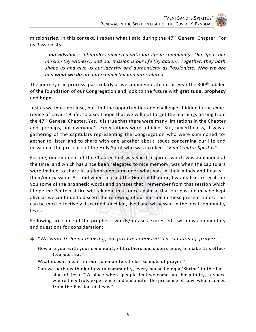missionaries. In this context, I repeat what I said during the 47<sup>th</sup> General Chapter. For us Passionists:

*…our mission is integrally connected with our life in community…Our life is our mission (by witness), and our mission is our life (by action). Together, they both shape us and give us our identity and authenticity as Passionists. Who we are and what we do are interconnected and interrelated.* 

The journey is in process, particularly as we commemorate in this year the 300<sup>th</sup> jubilee of the foundation of our Congregation and look to the future with **gratitude, prophecy**  and **hope**.

Just as we must not lose, but find the opportunities and challenges hidden in the experience of Covid-19 life, so also, I hope that we will not forget the learnings arising from the 47<sup>th</sup> General Chapter. Yes, it is true that there were many limitations in the Chapter and, perhaps, not everyone's expectations were fulfilled. But, nevertheless, it was a gathering of the capitulars representing the Congregation who were summoned together to listen and to share with one another about issues concerning our life and mission in the presence of the Holy Spirit who was invoked: *"Veni Creator Spiritus"*.

For me, one moment of the Chapter that was Spirit-inspired, which was applauded at the time, and which has since been relegated to nice memory, was when the capitulars were invited to share in an impromptu manner what was in their minds and hearts – their/our passion! As I did when I closed the General Chapter, I would like to recall for you some of the **prophetic** words and phrases that I remember from that session which I hope the Pentecost fire will rekindle in us once again so that our passion may be kept alive as we continue to discern the renewing of our mission in these present times. This can be most effectively discerned, decided, lived and witnessed in the local community level.

Following are some of the prophetic words/phrases expressed - with my commentary and questions for consideration:

- *"We want to be welcoming, hospitable communities, schools of prayer."*
	- *How are you, with your community of brothers and sisters going to make this effective and real?*
	- *What does it mean for our communities to be 'schools of prayer'?*
	- Can we perhaps think of every community, every house being a 'Shrine' to the Pas*sion of Jesus? A place where people feel welcome and hospitality, a space where they truly experience and encounter the presence of Love which comes from the Passion of Jesus?*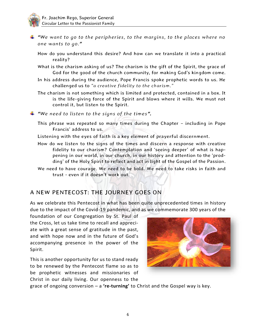

*"We want to go to the peripheries, to the margins, to the places where no one wants to go."* 

*How do you understand this desire? And how can we translate it into a practical reality?*

- *What is the charism asking of us? The charism is the gift of the Spirit, the grace of God for the good of the church community, for making God's kingdom come.*
- *In his address during the audience, Pope Francis spoke prophetic words to us. He challenged us to "a creative fidelity to the charism."*
- *The charism is not something which is limited and protected, contained in a box. It*  is the life-giving force of the Spirit and blows where it wills. We must not *control it, but listen to the Spirit.*
- *"We need to listen to the signs of the times ".* 
	- *This phrase was repeated so many times during the Chapter – including in Pope Francis' address to us.*
	- *Listening with the eyes of faith is a key element of prayerful discernment.*
	- *How do we listen to the signs of the times and discern a response with creative fidelity to our charism? Contemplation and 'seeing deeper' of what is happening in our world, in our church, in our history and attention to the 'prodding' of the Holy Spirit to reflect and act in light of the Gospel of the Passion.*
	- *We need to have courage. We need to be bold. We need to take risks in faith and trust - even if it doesn't work out.*

#### *A NEW PENTECOST: THE JOURNEY GOES ON*

As we celebrate this Pentecost in what has been quite unprecedented times in history due to the impact of the Covid-19 pandemic, and as we commemorate 300 years of the

foundation of our Congregation by St. Paul of the Cross, let us take time to recall and appreciate with a great sense of gratitude in the past, and with hope now and in the future of God's accompanying presence in the power of the Spirit.

This is another opportunity for us to stand ready to be renewed by the Pentecost flame so as to be prophetic witnesses and missionaries of Christ in our daily living. Our openness to the



grace of ongoing conversion – a **'re-turning'** to Christ and the Gospel way is key.